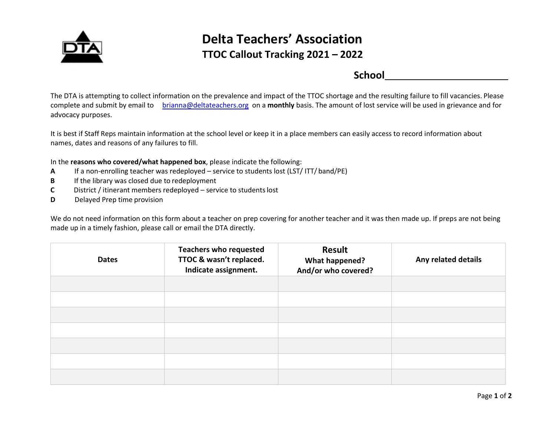

## **Delta Teachers' Association TTOC Callout Tracking 2021 – 2022**

**School**

The DTA is attempting to collect information on the prevalence and impact of the TTOC shortage and the resulting failure to fill vacancies. Please complete and submit by email to hw<u>[brianna@deltateachers.org](mailto:brianna@deltateachers.org)</u> on a **monthly** basis. The amount of lost service will be used in grievance and for advocacy purposes.

It is best if Staff Reps maintain information at the school level or keep it in a place members can easily access to record information about names, dates and reasons of any failures to fill.

In the **reasons who covered/what happened box**, please indicate the following:

- **A** If a non-enrolling teacher was redeployed service to students lost (LST/ ITT/ band/PE)
- **B** If the library was closed due to redeployment
- **C** District / itinerant members redeployed service to studentslost
- **D** Delayed Prep time provision

We do not need information on this form about a teacher on prep covering for another teacher and it was then made up. If preps are not being made up in a timely fashion, please call or email the DTA directly.

| <b>Dates</b> | <b>Teachers who requested</b><br>TTOC & wasn't replaced.<br>Indicate assignment. | <b>Result</b><br><b>What happened?</b><br>And/or who covered? | Any related details |
|--------------|----------------------------------------------------------------------------------|---------------------------------------------------------------|---------------------|
|              |                                                                                  |                                                               |                     |
|              |                                                                                  |                                                               |                     |
|              |                                                                                  |                                                               |                     |
|              |                                                                                  |                                                               |                     |
|              |                                                                                  |                                                               |                     |
|              |                                                                                  |                                                               |                     |
|              |                                                                                  |                                                               |                     |